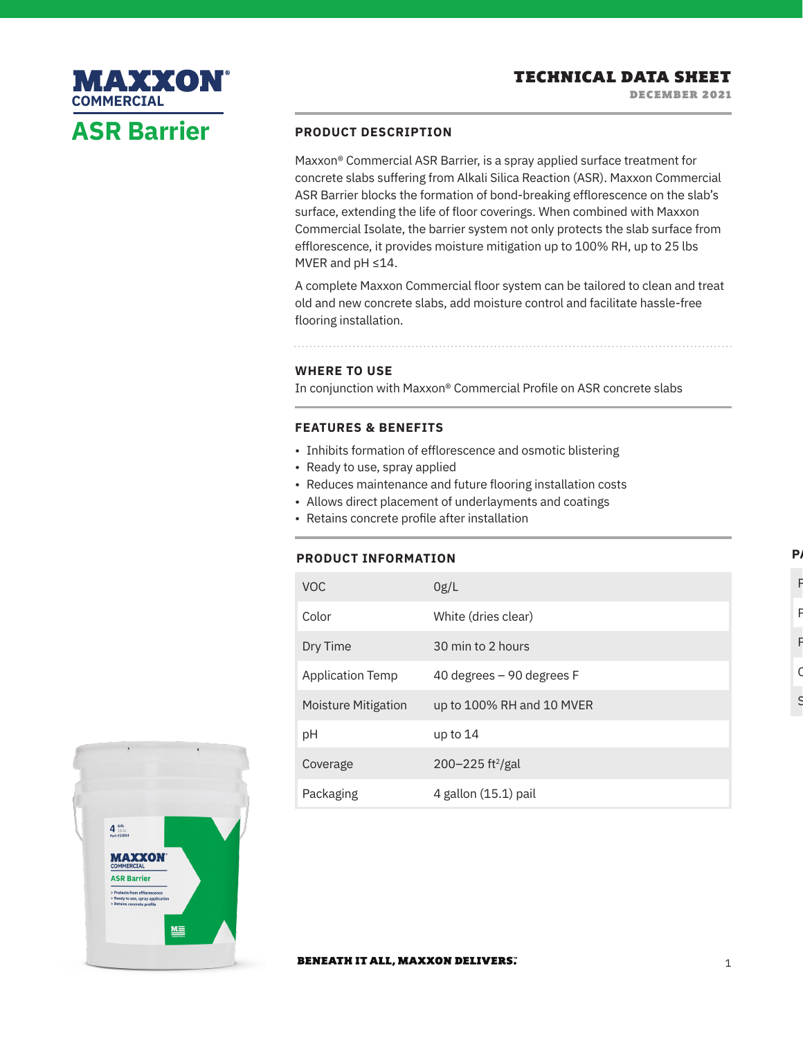# **PRODUCT DESCRIPTION**

Maxxon® Commercial ASR Barrier, is a spray applied surface treatment for concrete slabs suffering from Alkali Silica Reaction (ASR). Maxxon Commercial ASR Barrier blocks the formation of bond-breaking efflorescence on the slab's surface, extending the life of floor coverings. When combined with Maxxon Commercial Isolate, the barrier system not only protects the slab surface from efflorescence, it provides moisture mitigation up to 100% RH, up to 25 lbs MVER and pH ≤14.

A complete Maxxon Commercial floor system can be tailored to clean and treat old and new concrete slabs, add moisture control and facilitate hassle-free flooring installation.

## **WHERE TO USE**

In conjunction with Maxxon® Commercial Profile on ASR concrete slabs

## **FEATURES & BENEFITS**

- Inhibits formation of efflorescence and osmotic blistering
- Ready to use, spray applied
- Reduces maintenance and future flooring installation costs
- Allows direct placement of underlayments and coatings
- Retains concrete profile after installation

### **PRODUCT INFORMATION**

| <b>VOC</b>              | 0g/L                             |
|-------------------------|----------------------------------|
| Color                   | White (dries clear)              |
| Dry Time                | 30 min to 2 hours                |
| <b>Application Temp</b> | 40 degrees $-90$ degrees F       |
| Moisture Mitigation     | up to 100% RH and 10 MVER        |
| рH                      | up to $14$                       |
| Coverage                | $200 - 225$ ft <sup>2</sup> /gal |
| Packaging               | 4 gallon (15.1) pail             |



**ASR Barrier**

MAXXON

**COMMERCIAL**

#### **BENEATH IT ALL, MAXXON DELIVERS.**

**P** 

Part Number

Package Type Pail

Package Size 4 gal

 $\mathsf C$ 

S<br>C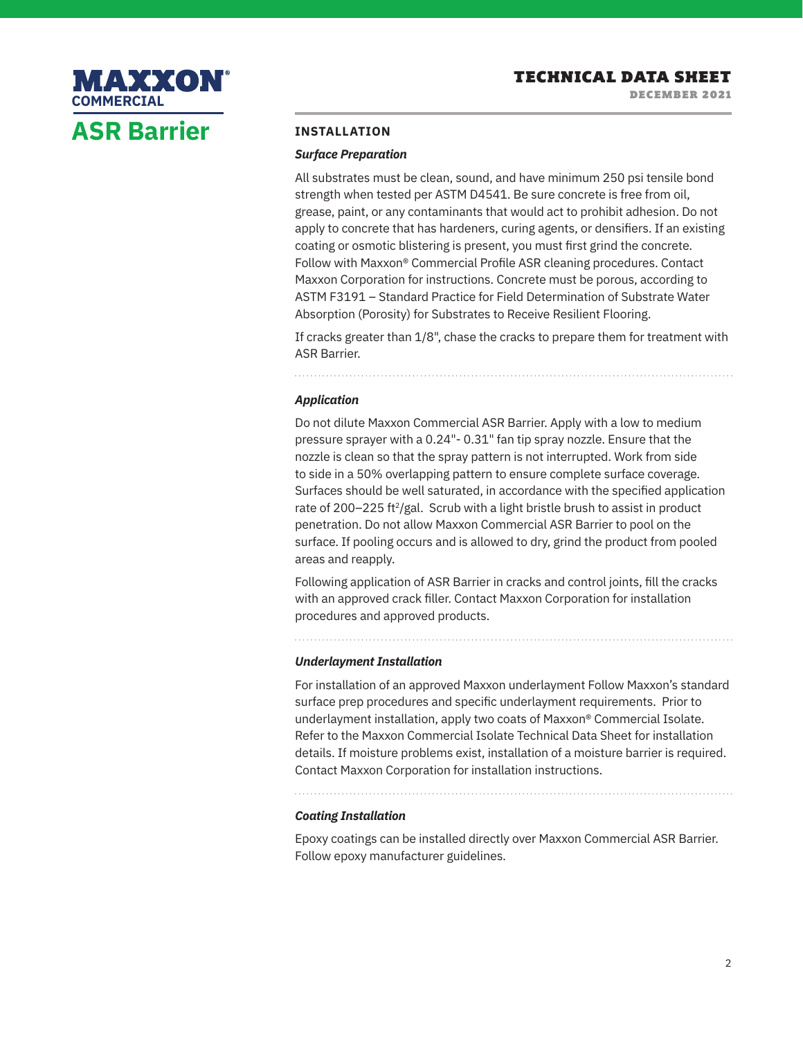

### **INSTALLATION**

#### *Surface Preparation*

All substrates must be clean, sound, and have minimum 250 psi tensile bond strength when tested per ASTM D4541. Be sure concrete is free from oil, grease, paint, or any contaminants that would act to prohibit adhesion. Do not apply to concrete that has hardeners, curing agents, or densifiers. If an existing coating or osmotic blistering is present, you must first grind the concrete. Follow with Maxxon® Commercial Profile ASR cleaning procedures. Contact Maxxon Corporation for instructions. Concrete must be porous, according to ASTM F3191 – Standard Practice for Field Determination of Substrate Water Absorption (Porosity) for Substrates to Receive Resilient Flooring.

If cracks greater than 1/8", chase the cracks to prepare them for treatment with ASR Barrier.

#### *Application*

Do not dilute Maxxon Commercial ASR Barrier. Apply with a low to medium pressure sprayer with a 0.24"- 0.31" fan tip spray nozzle. Ensure that the nozzle is clean so that the spray pattern is not interrupted. Work from side to side in a 50% overlapping pattern to ensure complete surface coverage. Surfaces should be well saturated, in accordance with the specified application rate of 200–225 ft<sup>2</sup>/gal. Scrub with a light bristle brush to assist in product penetration. Do not allow Maxxon Commercial ASR Barrier to pool on the surface. If pooling occurs and is allowed to dry, grind the product from pooled areas and reapply.

Following application of ASR Barrier in cracks and control joints, fill the cracks with an approved crack filler. Contact Maxxon Corporation for installation procedures and approved products.

#### *Underlayment Installation*

For installation of an approved Maxxon underlayment Follow Maxxon's standard surface prep procedures and specific underlayment requirements. Prior to underlayment installation, apply two coats of Maxxon® Commercial Isolate. Refer to the Maxxon Commercial Isolate Technical Data Sheet for installation details. If moisture problems exist, installation of a moisture barrier is required. Contact Maxxon Corporation for installation instructions.

### *Coating Installation*

Epoxy coatings can be installed directly over Maxxon Commercial ASR Barrier. Follow epoxy manufacturer guidelines.